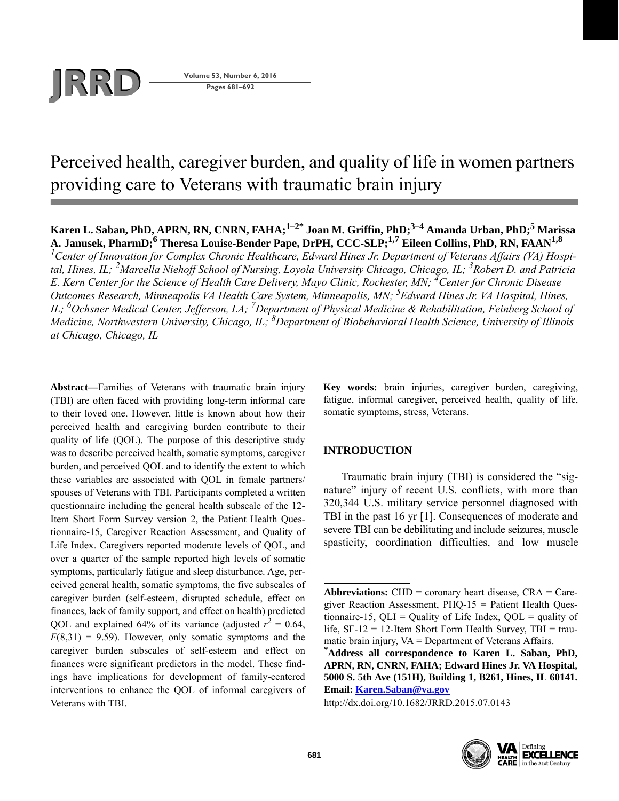

**Pages 681–692**

# Perceived health, caregiver burden, and quality of life in women partners providing care to Veterans with traumatic brain injury

# Karen L. Saban, PhD, APRN, RN, CNRN, FAHA;<sup>1-2\*</sup> Joan M. Griffin, PhD;<sup>3-4</sup> Amanda Urban, PhD;<sup>5</sup> Marissa **A. Janusek, PharmD;6 Theresa Louise-Bender Pape, DrPH, CCC-SLP;1,7 Eileen Collins, PhD, RN, FAAN1,8**

*1 Center of Innovation for Complex Chronic Healthcare, Edward Hines Jr. Department of Veterans Affairs (VA) Hospital, Hines, IL; 2 Marcella Niehoff School of Nursing, Loyola University Chicago, Chicago, IL; 3Robert D. and Patricia E. Kern Center for the Science of Health Care Delivery, Mayo Clinic, Rochester, MN; 4Center for Chronic Disease Outcomes Research, Minneapolis VA Health Care System, Minneapolis, MN; <sup>5</sup> Edward Hines Jr. VA Hospital, Hines, IL; <sup>6</sup> Ochsner Medical Center, Jefferson, LA; 7 Department of Physical Medicine & Rehabilitation, Feinberg School of Medicine, Northwestern University, Chicago, IL; 8Department of Biobehavioral Health Science, University of Illinois at Chicago, Chicago, IL*

**Abstract—**Families of Veterans with traumatic brain injury (TBI) are often faced with providing long-term informal care to their loved one. However, little is known about how their perceived health and caregiving burden contribute to their quality of life (QOL). The purpose of this descriptive study was to describe perceived health, somatic symptoms, caregiver burden, and perceived QOL and to identify the extent to which these variables are associated with QOL in female partners/ spouses of Veterans with TBI. Participants completed a written questionnaire including the general health subscale of the 12- Item Short Form Survey version 2, the Patient Health Questionnaire-15, Caregiver Reaction Assessment, and Quality of Life Index. Caregivers reported moderate levels of QOL, and over a quarter of the sample reported high levels of somatic symptoms, particularly fatigue and sleep disturbance. Age, perceived general health, somatic symptoms, the five subscales of caregiver burden (self-esteem, disrupted schedule, effect on finances, lack of family support, and effect on health) predicted QOL and explained 64% of its variance (adjusted  $r^2 = 0.64$ ,  $F(8,31) = 9.59$ . However, only somatic symptoms and the caregiver burden subscales of self-esteem and effect on finances were significant predictors in the model. These findings have implications for development of family-centered interventions to enhance the QOL of informal caregivers of Veterans with TBI.

**Key words:** brain injuries, caregiver burden, caregiving, fatigue, informal caregiver, perceived health, quality of life, somatic symptoms, stress, Veterans.

# **INTRODUCTION**

Traumatic brain injury (TBI) is considered the "signature" injury of recent U.S. conflicts, with more than 320,344 U.S. military service personnel diagnosed with TBI in the past 16 yr [1]. Consequences of moderate and severe TBI can be debilitating and include seizures, muscle spasticity, coordination difficulties, and low muscle

http://dx.doi.org/10.1682/JRRD.2015.07.0143



**Abbreviations:** CHD = coronary heart disease, CRA = Caregiver Reaction Assessment, PHQ-15 = Patient Health Questionnaire-15,  $QLI =$  Quality of Life Index,  $QOL =$  quality of life,  $SF-12 = 12$ -Item Short Form Health Survey, TBI = traumatic brain injury, VA = Department of Veterans Affairs.

**<sup>\*</sup> Address all correspondence to Karen L. Saban, PhD, APRN, RN, CNRN, FAHA; Edward Hines Jr. VA Hospital, 5000 S. 5th Ave (151H), Building 1, B261, Hines, IL 60141. Email: [Karen.Saban@va.gov](mailto:Karen.Saban@va.gov)**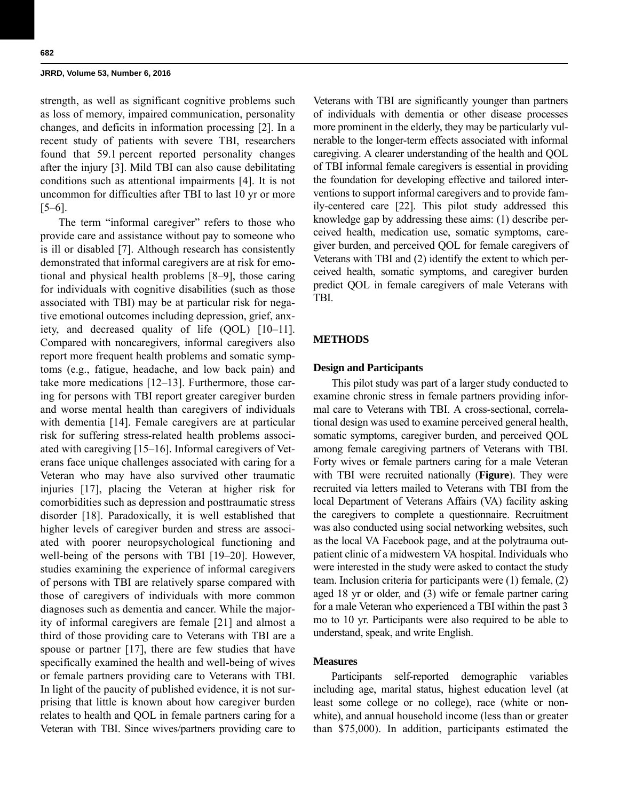strength, as well as significant cognitive problems such as loss of memory, impaired communication, personality changes, and deficits in information processing [2]. In a recent study of patients with severe TBI, researchers found that 59.1 percent reported personality changes after the injury [3]. Mild TBI can also cause debilitating conditions such as attentional impairments [4]. It is not uncommon for difficulties after TBI to last 10 yr or more [5–6].

The term "informal caregiver" refers to those who provide care and assistance without pay to someone who is ill or disabled [7]. Although research has consistently demonstrated that informal caregivers are at risk for emotional and physical health problems [8–9], those caring for individuals with cognitive disabilities (such as those associated with TBI) may be at particular risk for negative emotional outcomes including depression, grief, anxiety, and decreased quality of life (QOL) [10–11]. Compared with noncaregivers, informal caregivers also report more frequent health problems and somatic symptoms (e.g., fatigue, headache, and low back pain) and take more medications [12–13]. Furthermore, those caring for persons with TBI report greater caregiver burden and worse mental health than caregivers of individuals with dementia [14]. Female caregivers are at particular risk for suffering stress-related health problems associated with caregiving [15–16]. Informal caregivers of Veterans face unique challenges associated with caring for a Veteran who may have also survived other traumatic injuries [17], placing the Veteran at higher risk for comorbidities such as depression and posttraumatic stress disorder [18]. Paradoxically, it is well established that higher levels of caregiver burden and stress are associated with poorer neuropsychological functioning and well-being of the persons with TBI [19–20]. However, studies examining the experience of informal caregivers of persons with TBI are relatively sparse compared with those of caregivers of individuals with more common diagnoses such as dementia and cancer. While the majority of informal caregivers are female [21] and almost a third of those providing care to Veterans with TBI are a spouse or partner [17], there are few studies that have specifically examined the health and well-being of wives or female partners providing care to Veterans with TBI. In light of the paucity of published evidence, it is not surprising that little is known about how caregiver burden relates to health and QOL in female partners caring for a Veteran with TBI. Since wives/partners providing care to Veterans with TBI are significantly younger than partners of individuals with dementia or other disease processes more prominent in the elderly, they may be particularly vulnerable to the longer-term effects associated with informal caregiving. A clearer understanding of the health and QOL of TBI informal female caregivers is essential in providing the foundation for developing effective and tailored interventions to support informal caregivers and to provide family-centered care [22]. This pilot study addressed this knowledge gap by addressing these aims: (1) describe perceived health, medication use, somatic symptoms, caregiver burden, and perceived QOL for female caregivers of Veterans with TBI and (2) identify the extent to which perceived health, somatic symptoms, and caregiver burden predict QOL in female caregivers of male Veterans with TBI.

# **METHODS**

#### **Design and Participants**

This pilot study was part of a larger study conducted to examine chronic stress in female partners providing informal care to Veterans with TBI. A cross-sectional, correlational design was used to examine perceived general health, somatic symptoms, caregiver burden, and perceived QOL among female caregiving partners of Veterans with TBI. Forty wives or female partners caring for a male Veteran with TBI were recruited nationally (**Figure**). They were recruited via letters mailed to Veterans with TBI from the local Department of Veterans Affairs (VA) facility asking the caregivers to complete a questionnaire. Recruitment was also conducted using social networking websites, such as the local VA Facebook page, and at the polytrauma outpatient clinic of a midwestern VA hospital. Individuals who were interested in the study were asked to contact the study team. Inclusion criteria for participants were (1) female, (2) aged 18 yr or older, and (3) wife or female partner caring for a male Veteran who experienced a TBI within the past 3 mo to 10 yr. Participants were also required to be able to understand, speak, and write English.

# **Measures**

Participants self-reported demographic variables including age, marital status, highest education level (at least some college or no college), race (white or nonwhite), and annual household income (less than or greater than \$75,000). In addition, participants estimated the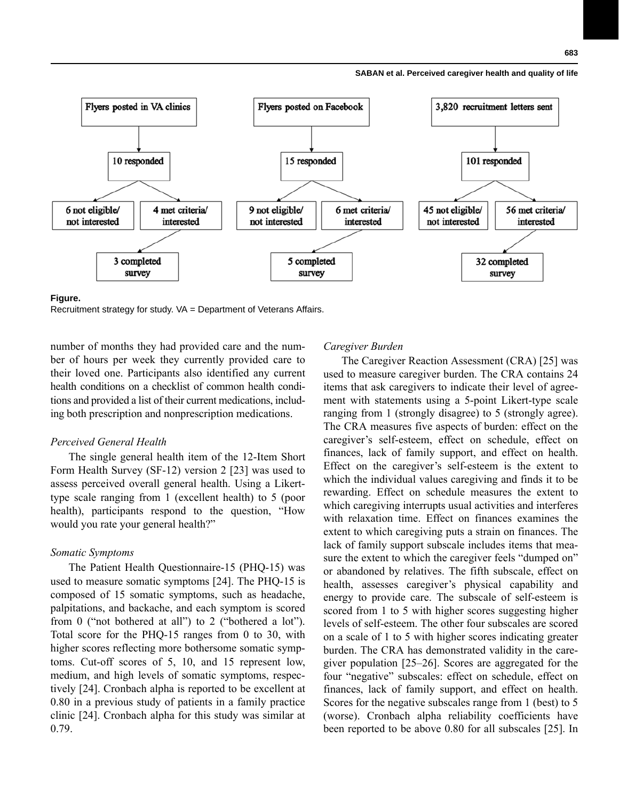#### **SABAN et al. Perceived caregiver health and quality of life**



#### **Figure.**

Recruitment strategy for study. VA = Department of Veterans Affairs.

number of months they had provided care and the number of hours per week they currently provided care to their loved one. Participants also identified any current health conditions on a checklist of common health conditions and provided a list of their current medications, including both prescription and nonprescription medications.

#### *Perceived General Health*

The single general health item of the 12-Item Short Form Health Survey (SF-12) version 2 [23] was used to assess perceived overall general health. Using a Likerttype scale ranging from 1 (excellent health) to 5 (poor health), participants respond to the question, "How would you rate your general health?"

#### *Somatic Symptoms*

The Patient Health Questionnaire-15 (PHQ-15) was used to measure somatic symptoms [24]. The PHQ-15 is composed of 15 somatic symptoms, such as headache, palpitations, and backache, and each symptom is scored from 0 ("not bothered at all") to 2 ("bothered a lot"). Total score for the PHQ-15 ranges from 0 to 30, with higher scores reflecting more bothersome somatic symptoms. Cut-off scores of 5, 10, and 15 represent low, medium, and high levels of somatic symptoms, respectively [24]. Cronbach alpha is reported to be excellent at 0.80 in a previous study of patients in a family practice clinic [24]. Cronbach alpha for this study was similar at 0.79.

#### *Caregiver Burden*

The Caregiver Reaction Assessment (CRA) [25] was used to measure caregiver burden. The CRA contains 24 items that ask caregivers to indicate their level of agreement with statements using a 5-point Likert-type scale ranging from 1 (strongly disagree) to 5 (strongly agree). The CRA measures five aspects of burden: effect on the caregiver's self-esteem, effect on schedule, effect on finances, lack of family support, and effect on health. Effect on the caregiver's self-esteem is the extent to which the individual values caregiving and finds it to be rewarding. Effect on schedule measures the extent to which caregiving interrupts usual activities and interferes with relaxation time. Effect on finances examines the extent to which caregiving puts a strain on finances. The lack of family support subscale includes items that measure the extent to which the caregiver feels "dumped on" or abandoned by relatives. The fifth subscale, effect on health, assesses caregiver's physical capability and energy to provide care. The subscale of self-esteem is scored from 1 to 5 with higher scores suggesting higher levels of self-esteem. The other four subscales are scored on a scale of 1 to 5 with higher scores indicating greater burden. The CRA has demonstrated validity in the caregiver population [25–26]. Scores are aggregated for the four "negative" subscales: effect on schedule, effect on finances, lack of family support, and effect on health. Scores for the negative subscales range from 1 (best) to 5 (worse). Cronbach alpha reliability coefficients have been reported to be above 0.80 for all subscales [25]. In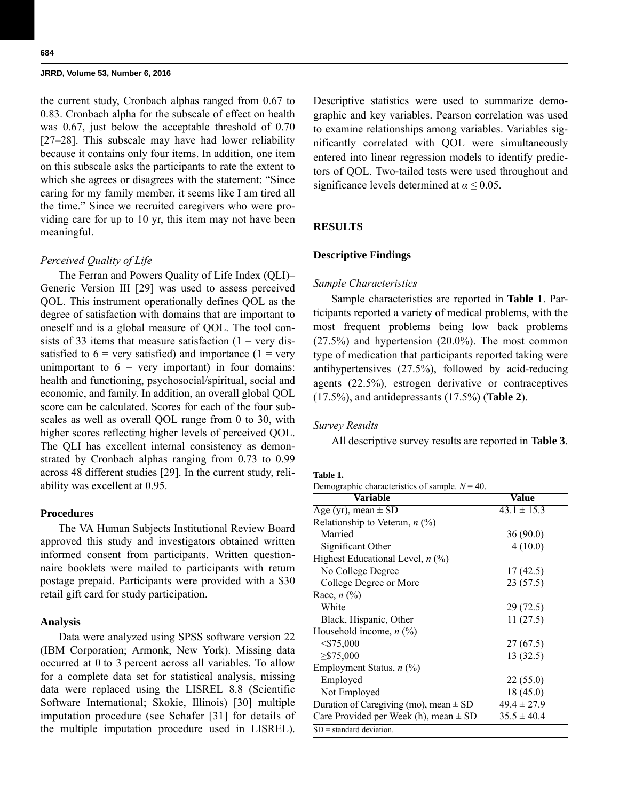the current study, Cronbach alphas ranged from 0.67 to 0.83. Cronbach alpha for the subscale of effect on health was 0.67, just below the acceptable threshold of 0.70 [27–28]. This subscale may have had lower reliability because it contains only four items. In addition, one item on this subscale asks the participants to rate the extent to which she agrees or disagrees with the statement: "Since caring for my family member, it seems like I am tired all the time." Since we recruited caregivers who were providing care for up to 10 yr, this item may not have been meaningful.

#### *Perceived Quality of Life*

The Ferran and Powers Quality of Life Index (QLI)– Generic Version III [29] was used to assess perceived QOL. This instrument operationally defines QOL as the degree of satisfaction with domains that are important to oneself and is a global measure of QOL. The tool consists of 33 items that measure satisfaction  $(1 = \text{very dis-})$ satisfied to  $6$  = very satisfied) and importance  $(1$  = very unimportant to  $6 = \text{very important}$  in four domains: health and functioning, psychosocial/spiritual, social and economic, and family. In addition, an overall global QOL score can be calculated. Scores for each of the four subscales as well as overall QOL range from 0 to 30, with higher scores reflecting higher levels of perceived QOL. The QLI has excellent internal consistency as demonstrated by Cronbach alphas ranging from 0.73 to 0.99 across 48 different studies [29]. In the current study, reliability was excellent at 0.95.

#### **Procedures**

The VA Human Subjects Institutional Review Board approved this study and investigators obtained written informed consent from participants. Written questionnaire booklets were mailed to participants with return postage prepaid. Participants were provided with a \$30 retail gift card for study participation.

## **Analysis**

Data were analyzed using SPSS software version 22 (IBM Corporation; Armonk, New York). Missing data occurred at 0 to 3 percent across all variables. To allow for a complete data set for statistical analysis, missing data were replaced using the LISREL 8.8 (Scientific Software International; Skokie, Illinois) [30] multiple imputation procedure (see Schafer [31] for details of the multiple imputation procedure used in LISREL).

Descriptive statistics were used to summarize demographic and key variables. Pearson correlation was used to examine relationships among variables. Variables significantly correlated with QOL were simultaneously entered into linear regression models to identify predictors of QOL. Two-tailed tests were used throughout and significance levels determined at  $\alpha \leq 0.05$ .

## **RESULTS**

## **Descriptive Findings**

#### *Sample Characteristics*

Sample characteristics are reported in **Table 1**. Participants reported a variety of medical problems, with the most frequent problems being low back problems  $(27.5%)$  and hypertension  $(20.0%)$ . The most common type of medication that participants reported taking were antihypertensives (27.5%), followed by acid-reducing agents (22.5%), estrogen derivative or contraceptives (17.5%), and antidepressants (17.5%) (**Table 2**).

#### *Survey Results*

All descriptive survey results are reported in **Table 3**.

#### **Table 1.**

Demographic characteristics of sample. *N* = 40.

| Variable                                   | Value           |
|--------------------------------------------|-----------------|
| Age (yr), mean $\overline{\pm SD}$         | $43.1 \pm 15.3$ |
| Relationship to Veteran, $n$ (%)           |                 |
| Married                                    | 36(90.0)        |
| Significant Other                          | 4(10.0)         |
| Highest Educational Level, $n$ (%)         |                 |
| No College Degree                          | 17(42.5)        |
| College Degree or More                     | 23(57.5)        |
| Race, $n$ (%)                              |                 |
| White                                      | 29 (72.5)       |
| Black, Hispanic, Other                     | 11(27.5)        |
| Household income, $n$ (%)                  |                 |
| $<$ \$75,000                               | 27(67.5)        |
| $\geq$ \$75,000                            | 13 (32.5)       |
| Employment Status, $n$ (%)                 |                 |
| Employed                                   | 22(55.0)        |
| Not Employed                               | 18 (45.0)       |
| Duration of Caregiving (mo), mean $\pm$ SD | $49.4 \pm 27.9$ |
| Care Provided per Week (h), mean $\pm$ SD  | $35.5 \pm 40.4$ |
| $SD = standard deviation$ .                |                 |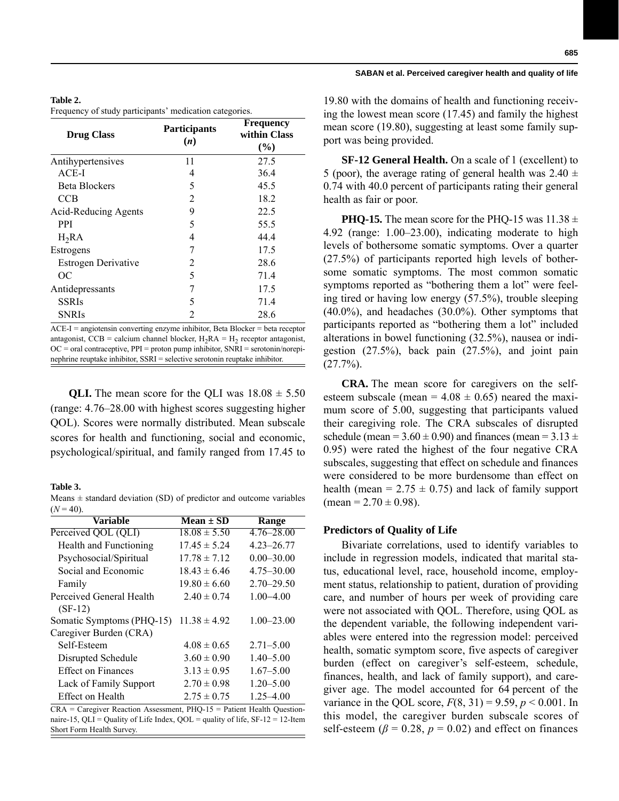#### **Table 2.**

Frequency of study participants' medication categories.

| <b>Drug Class</b>           | <b>Participants</b><br>(n) | <b>Frequency</b><br>within Class<br>(%) |  |
|-----------------------------|----------------------------|-----------------------------------------|--|
| Antihypertensives           | 11                         | 27.5                                    |  |
| $ACE-I$                     | 4                          | 36.4                                    |  |
| <b>Beta Blockers</b>        | 5                          | 45.5                                    |  |
| <b>CCB</b>                  | $\overline{2}$             | 18.2                                    |  |
| <b>Acid-Reducing Agents</b> | 9                          | 22.5                                    |  |
| <b>PPI</b>                  | 5                          | 55.5                                    |  |
| $H_2RA$                     | 4                          | 44.4                                    |  |
| Estrogens                   | 7                          | 17.5                                    |  |
| Estrogen Derivative         | 2                          | 28.6                                    |  |
| OC                          | 5                          | 71.4                                    |  |
| Antidepressants             | 7                          | 17.5                                    |  |
| <b>SSRIs</b>                | 5                          | 71.4                                    |  |
| <b>SNRIs</b>                | $\mathfrak{D}$             | 28.6                                    |  |

ACE-I = angiotensin converting enzyme inhibitor, Beta Blocker = beta receptor antagonist, CCB = calcium channel blocker,  $H_2RA = H_2$  receptor antagonist,  $OC = \text{oral contractive}, PPI = \text{proton pump inhibitor}, SNRI = \text{serotonin/norepi-}$ nephrine reuptake inhibitor, SSRI = selective serotonin reuptake inhibitor.

**QLI.** The mean score for the QLI was  $18.08 \pm 5.50$ (range: 4.76–28.00 with highest scores suggesting higher QOL). Scores were normally distributed. Mean subscale scores for health and functioning, social and economic, psychological/spiritual, and family ranged from 17.45 to

#### **Table 3.**

Means  $\pm$  standard deviation (SD) of predictor and outcome variables  $(N = 40)$ .

| Variable                  | $Mean \pm SD$    | Range          |
|---------------------------|------------------|----------------|
| Perceived QOL (QLI)       | $18.08 \pm 5.50$ | $4.76 - 28.00$ |
| Health and Functioning    | $17.45 \pm 5.24$ | $4.23 - 26.77$ |
| Psychosocial/Spiritual    | $17.78 \pm 7.12$ | $0.00 - 30.00$ |
| Social and Economic       | $18.43 \pm 6.46$ | $4.75 - 30.00$ |
| Family                    | $19.80 \pm 6.60$ | $2.70 - 29.50$ |
| Perceived General Health  | $2.40 \pm 0.74$  | $1.00 - 4.00$  |
| $(SF-12)$                 |                  |                |
| Somatic Symptoms (PHQ-15) | $11.38 \pm 4.92$ | $1.00 - 23.00$ |
| Caregiver Burden (CRA)    |                  |                |
| Self-Esteem               | $4.08 \pm 0.65$  | $2.71 - 5.00$  |
| Disrupted Schedule        | $3.60 \pm 0.90$  | $1.40 - 5.00$  |
| <b>Effect on Finances</b> | $3.13 \pm 0.95$  | $1.67 - 5.00$  |
| Lack of Family Support    | $2.70 \pm 0.98$  | $1.20 - 5.00$  |
| Effect on Health          | $2.75 \pm 0.75$  | $1.25 - 4.00$  |

 $CRA = Caregiver Reaction Assessment, PHQ-15 = Patient Health Question$ naire-15, QLI = Quality of Life Index, QOL = quality of life,  $SF-12 = 12$ -Item Short Form Health Survey.

19.80 with the domains of health and functioning receiving the lowest mean score (17.45) and family the highest mean score (19.80), suggesting at least some family support was being provided.

**SF-12 General Health.** On a scale of 1 (excellent) to 5 (poor), the average rating of general health was 2.40  $\pm$ 0.74 with 40.0 percent of participants rating their general health as fair or poor.

**PHQ-15.** The mean score for the PHQ-15 was  $11.38 \pm$ 4.92 (range: 1.00–23.00), indicating moderate to high levels of bothersome somatic symptoms. Over a quarter (27.5%) of participants reported high levels of bothersome somatic symptoms. The most common somatic symptoms reported as "bothering them a lot" were feeling tired or having low energy (57.5%), trouble sleeping (40.0%), and headaches (30.0%). Other symptoms that participants reported as "bothering them a lot" included alterations in bowel functioning (32.5%), nausea or indigestion (27.5%), back pain (27.5%), and joint pain  $(27.7\%)$ .

**CRA.** The mean score for caregivers on the selfesteem subscale (mean =  $4.08 \pm 0.65$ ) neared the maximum score of 5.00, suggesting that participants valued their caregiving role. The CRA subscales of disrupted schedule (mean =  $3.60 \pm 0.90$ ) and finances (mean =  $3.13 \pm$ 0.95) were rated the highest of the four negative CRA subscales, suggesting that effect on schedule and finances were considered to be more burdensome than effect on health (mean =  $2.75 \pm 0.75$ ) and lack of family support  $(\text{mean} = 2.70 \pm 0.98)$ .

#### **Predictors of Quality of Life**

Bivariate correlations, used to identify variables to include in regression models, indicated that marital status, educational level, race, household income, employment status, relationship to patient, duration of providing care, and number of hours per week of providing care were not associated with QOL. Therefore, using QOL as the dependent variable, the following independent variables were entered into the regression model: perceived health, somatic symptom score, five aspects of caregiver burden (effect on caregiver's self-esteem, schedule, finances, health, and lack of family support), and caregiver age. The model accounted for 64 percent of the variance in the QOL score,  $F(8, 31) = 9.59$ ,  $p < 0.001$ . In this model, the caregiver burden subscale scores of self-esteem ( $\beta$  = 0.28,  $p$  = 0.02) and effect on finances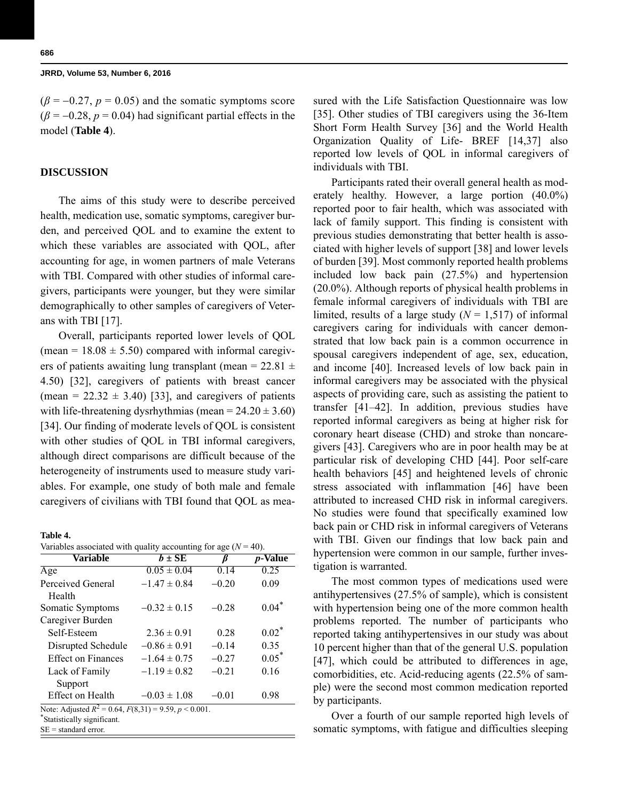$(\beta = -0.27, p = 0.05)$  and the somatic symptoms score  $(\beta = -0.28, p = 0.04)$  had significant partial effects in the model (**Table 4**).

# **DISCUSSION**

The aims of this study were to describe perceived health, medication use, somatic symptoms, caregiver burden, and perceived QOL and to examine the extent to which these variables are associated with QOL, after accounting for age, in women partners of male Veterans with TBI. Compared with other studies of informal caregivers, participants were younger, but they were similar demographically to other samples of caregivers of Veterans with TBI [17].

Overall, participants reported lower levels of QOL (mean =  $18.08 \pm 5.50$ ) compared with informal caregivers of patients awaiting lung transplant (mean =  $22.81 \pm$ 4.50) [32], caregivers of patients with breast cancer (mean =  $22.32 \pm 3.40$ ) [33], and caregivers of patients with life-threatening dysrhythmias (mean =  $24.20 \pm 3.60$ ) [34]. Our finding of moderate levels of QOL is consistent with other studies of QOL in TBI informal caregivers, although direct comparisons are difficult because of the heterogeneity of instruments used to measure study variables. For example, one study of both male and female caregivers of civilians with TBI found that QOL as mea-

**Table 4.**

| Variables associated with quality accounting for age $(N = 40)$ . |  |  |  |
|-------------------------------------------------------------------|--|--|--|
|                                                                   |  |  |  |

| Variable                                                       | $b \pm SE$       | ĸ       | <i>p</i> -Value  |
|----------------------------------------------------------------|------------------|---------|------------------|
| Age                                                            | $0.05 \pm 0.04$  | 0.14    | 0.25             |
| Perceived General                                              | $-1.47 \pm 0.84$ | $-0.20$ | 0.09             |
| Health                                                         |                  |         |                  |
| Somatic Symptoms                                               | $-0.32 \pm 0.15$ | $-0.28$ | 0.04             |
| Caregiver Burden                                               |                  |         |                  |
| Self-Esteem                                                    | $2.36 \pm 0.91$  | 0.28    | $0.02^{\degree}$ |
| Disrupted Schedule                                             | $-0.86 \pm 0.91$ | $-0.14$ | 0.35             |
| <b>Effect on Finances</b>                                      | $-1.64 \pm 0.75$ | $-0.27$ | $0.05*$          |
| Lack of Family                                                 | $-1.19 \pm 0.82$ | $-0.21$ | 0.16             |
| Support                                                        |                  |         |                  |
| Effect on Health                                               | $-0.03 \pm 1.08$ | $-0.01$ | 0.98             |
| Note: Adjusted $R^2 = 0.64$ , $F(8,31) = 9.59$ , $p < 0.001$ . |                  |         |                  |
| Statistically significant.                                     |                  |         |                  |
| $SE = standard error$ .                                        |                  |         |                  |

sured with the Life Satisfaction Questionnaire was low [35]. Other studies of TBI caregivers using the 36-Item Short Form Health Survey [36] and the World Health Organization Quality of Life- BREF [14,37] also reported low levels of QOL in informal caregivers of individuals with TBI.

Participants rated their overall general health as moderately healthy. However, a large portion (40.0%) reported poor to fair health, which was associated with lack of family support. This finding is consistent with previous studies demonstrating that better health is associated with higher levels of support [38] and lower levels of burden [39]. Most commonly reported health problems included low back pain (27.5%) and hypertension (20.0%). Although reports of physical health problems in female informal caregivers of individuals with TBI are limited, results of a large study  $(N = 1,517)$  of informal caregivers caring for individuals with cancer demonstrated that low back pain is a common occurrence in spousal caregivers independent of age, sex, education, and income [40]. Increased levels of low back pain in informal caregivers may be associated with the physical aspects of providing care, such as assisting the patient to transfer [41–42]. In addition, previous studies have reported informal caregivers as being at higher risk for coronary heart disease (CHD) and stroke than noncaregivers [43]. Caregivers who are in poor health may be at particular risk of developing CHD [44]. Poor self-care health behaviors [45] and heightened levels of chronic stress associated with inflammation [46] have been attributed to increased CHD risk in informal caregivers. No studies were found that specifically examined low back pain or CHD risk in informal caregivers of Veterans with TBI. Given our findings that low back pain and hypertension were common in our sample, further investigation is warranted.

The most common types of medications used were antihypertensives (27.5% of sample), which is consistent with hypertension being one of the more common health problems reported. The number of participants who reported taking antihypertensives in our study was about 10 percent higher than that of the general U.S. population [47], which could be attributed to differences in age, comorbidities, etc. Acid-reducing agents (22.5% of sample) were the second most common medication reported by participants.

Over a fourth of our sample reported high levels of somatic symptoms, with fatigue and difficulties sleeping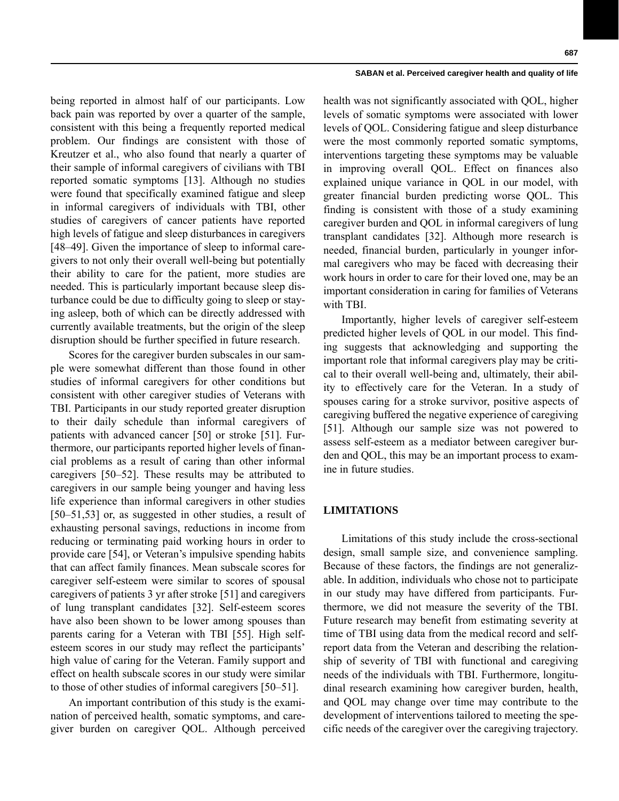being reported in almost half of our participants. Low back pain was reported by over a quarter of the sample, consistent with this being a frequently reported medical problem. Our findings are consistent with those of Kreutzer et al., who also found that nearly a quarter of their sample of informal caregivers of civilians with TBI reported somatic symptoms [13]. Although no studies were found that specifically examined fatigue and sleep in informal caregivers of individuals with TBI, other studies of caregivers of cancer patients have reported high levels of fatigue and sleep disturbances in caregivers [48–49]. Given the importance of sleep to informal caregivers to not only their overall well-being but potentially their ability to care for the patient, more studies are needed. This is particularly important because sleep disturbance could be due to difficulty going to sleep or staying asleep, both of which can be directly addressed with currently available treatments, but the origin of the sleep disruption should be further specified in future research.

Scores for the caregiver burden subscales in our sample were somewhat different than those found in other studies of informal caregivers for other conditions but consistent with other caregiver studies of Veterans with TBI. Participants in our study reported greater disruption to their daily schedule than informal caregivers of patients with advanced cancer [50] or stroke [51]. Furthermore, our participants reported higher levels of financial problems as a result of caring than other informal caregivers [50–52]. These results may be attributed to caregivers in our sample being younger and having less life experience than informal caregivers in other studies [50–51,53] or, as suggested in other studies, a result of exhausting personal savings, reductions in income from reducing or terminating paid working hours in order to provide care [54], or Veteran's impulsive spending habits that can affect family finances. Mean subscale scores for caregiver self-esteem were similar to scores of spousal caregivers of patients 3 yr after stroke [51] and caregivers of lung transplant candidates [32]. Self-esteem scores have also been shown to be lower among spouses than parents caring for a Veteran with TBI [55]. High selfesteem scores in our study may reflect the participants' high value of caring for the Veteran. Family support and effect on health subscale scores in our study were similar to those of other studies of informal caregivers [50–51].

An important contribution of this study is the examination of perceived health, somatic symptoms, and caregiver burden on caregiver QOL. Although perceived

# **SABAN et al. Perceived caregiver health and quality of life**

health was not significantly associated with QOL, higher levels of somatic symptoms were associated with lower levels of QOL. Considering fatigue and sleep disturbance were the most commonly reported somatic symptoms, interventions targeting these symptoms may be valuable in improving overall QOL. Effect on finances also explained unique variance in QOL in our model, with greater financial burden predicting worse QOL. This finding is consistent with those of a study examining caregiver burden and QOL in informal caregivers of lung transplant candidates [32]. Although more research is needed, financial burden, particularly in younger informal caregivers who may be faced with decreasing their work hours in order to care for their loved one, may be an important consideration in caring for families of Veterans with TBI.

Importantly, higher levels of caregiver self-esteem predicted higher levels of QOL in our model. This finding suggests that acknowledging and supporting the important role that informal caregivers play may be critical to their overall well-being and, ultimately, their ability to effectively care for the Veteran. In a study of spouses caring for a stroke survivor, positive aspects of caregiving buffered the negative experience of caregiving [51]. Although our sample size was not powered to assess self-esteem as a mediator between caregiver burden and QOL, this may be an important process to examine in future studies.

#### **LIMITATIONS**

Limitations of this study include the cross-sectional design, small sample size, and convenience sampling. Because of these factors, the findings are not generalizable. In addition, individuals who chose not to participate in our study may have differed from participants. Furthermore, we did not measure the severity of the TBI. Future research may benefit from estimating severity at time of TBI using data from the medical record and selfreport data from the Veteran and describing the relationship of severity of TBI with functional and caregiving needs of the individuals with TBI. Furthermore, longitudinal research examining how caregiver burden, health, and QOL may change over time may contribute to the development of interventions tailored to meeting the specific needs of the caregiver over the caregiving trajectory.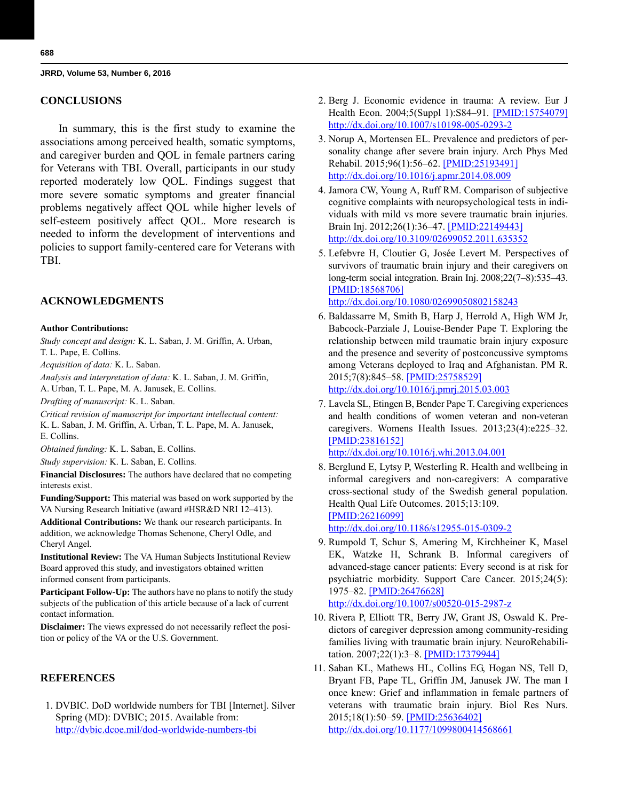## **CONCLUSIONS**

In summary, this is the first study to examine the associations among perceived health, somatic symptoms, and caregiver burden and QOL in female partners caring for Veterans with TBI. Overall, participants in our study reported moderately low QOL. Findings suggest that more severe somatic symptoms and greater financial problems negatively affect QOL while higher levels of self-esteem positively affect QOL. More research is needed to inform the development of interventions and policies to support family-centered care for Veterans with TBI.

#### **ACKNOWLEDGMENTS**

#### **Author Contributions:**

*Study concept and design:* K. L. Saban, J. M. Griffin, A. Urban, T. L. Pape, E. Collins.

*Acquisition of data:* K. L. Saban.

*Analysis and interpretation of data:* K. L. Saban, J. M. Griffin,

A. Urban, T. L. Pape, M. A. Janusek, E. Collins.

*Drafting of manuscript:* K. L. Saban.

*Critical revision of manuscript for important intellectual content:* K. L. Saban, J. M. Griffin, A. Urban, T. L. Pape, M. A. Janusek, E. Collins.

*Obtained funding:* K. L. Saban, E. Collins.

*Study supervision:* K. L. Saban, E. Collins.

**Financial Disclosures:** The authors have declared that no competing interests exist.

**Funding/Support:** This material was based on work supported by the VA Nursing Research Initiative (award #HSR&D NRI 12–413).

**Additional Contributions:** We thank our research participants. In addition, we acknowledge Thomas Schenone, Cheryl Odle, and Cheryl Angel.

**Institutional Review:** The VA Human Subjects Institutional Review Board approved this study, and investigators obtained written informed consent from participants.

**Participant Follow-Up:** The authors have no plans to notify the study subjects of the publication of this article because of a lack of current contact information.

**Disclaimer:** The views expressed do not necessarily reflect the position or policy of the VA or the U.S. Government.

#### **REFERENCES**

 1. [DVBIC. DoD worldwide numbers for TBI \[Internet\]. Silver](http://dvbic.dcoe.mil/dod-worldwide-numbers-tbi) [Spring \(MD\): DVBIC; 2015. Available from:](http://dvbic.dcoe.mil/dod-worldwide-numbers-tbi)  [h](http://dvbic.dcoe.mil/dod-worldwide-numbers-tbi)ttp://dvbic.dcoe.mil/dod-worldwide-numbers-tbi

- 2. Berg J. Economic evidence in trauma: A review. Eur J Health Econ. 2004;5(Suppl 1):S84–91. [\[PMID:15754079\]](http://www.ncbi.nlm.nih.gov/entrez/query.fcgi?cmd=Retrieve&db=PubMed&list_uids=15754079&dopt=Abstract) <http://dx.doi.org/10.1007/s10198-005-0293-2>
- 3. Norup A, Mortensen EL. Prevalence and predictors of personality change after severe brain injury. Arch Phys Med Rehabil. 2015;96(1):56–62. [\[PMID:25193491\]](http://www.ncbi.nlm.nih.gov/entrez/query.fcgi?cmd=Retrieve&db=PubMed&list_uids=25193491&dopt=Abstract) [http://dx.doi.org/10.1016/j.](http://dx.doi.org/10.1016/j.apmr.2014.08.009)[apmr.2014.08.009](http://www.ncbi.nlm.nih.gov/pubmed/23546537)
- 4. Jamora CW, Young A, Ruff RM. Comparison of subjective cognitive complaints with neuropsychological tests in individuals with mild vs more severe traumatic brain injuries. Brain Inj. 2012;26(1):36–47. [\[PMID:22149443\]](http://www.ncbi.nlm.nih.gov/entrez/query.fcgi?cmd=Retrieve&db=PubMed&list_uids=22149443&dopt=Abstract) <http://dx.doi.org/10.3109/02699052.2011.635352>
- 5. [Lefebvre H, Cloutier G, Josée Levert](http://www.ncbi.nlm.nih.gov/entrez/query.fcgi?cmd=Retrieve&db=PubMed&list_uids=23469677&dopt=Abstract) [M. Perspectives of](http://dx.doi.org/10.5034/inquiryjrnl_49.04.01)  [survivors of traumatic brain injury and their caregivers on](http://dx.doi.org/10.5034/inquiryjrnl_49.04.01) long-term social integration. Brain Inj. 2008;22(7–8):535–43. [\[PMID:18568706\]](http://www.ncbi.nlm.nih.gov/entrez/query.fcgi?cmd=Retrieve&db=PubMed&list_uids=18568706&dopt=Abstract) <http://dx.doi.org/10.1080/02699050802158243>

 6. Baldassarre M, Smith B, Harp J, Herrold A, High WM Jr, Babcock-Parziale J, Louise-Bender Pape T. Exploring the relationship between mild traumatic brain injury exposure and the presence and severity of postconcussive symptoms among Veterans deployed to Iraq and Afghanistan. PM R. 2015;7(8):845–58. [\[PMID:25758529\]](http://www.ncbi.nlm.nih.gov/entrez/query.fcgi?cmd=Retrieve&db=PubMed&list_uids=25758529&dopt=Abstract) <http://dx.doi.org/10.1016/j.pmrj.2015.03.003>

 7. Lavela SL, Etingen B, Bender Pape T. Caregiving experiences and health conditions of women veteran and non-veteran caregivers. Womens Health Issues. 2013;23(4):e225–32. [\[PMID:23816152\]](http://www.ncbi.nlm.nih.gov/entrez/query.fcgi?cmd=Retrieve&db=PubMed&list_uids=23816152&dopt=Abstract)

<http://dx.doi.org/10.1016/j.whi.2013.04.001>

 8. Berglund E, Lytsy P, Westerling R. Health and wellbeing in informal caregivers and non-caregivers: A comparative cross-sectional study of the Swedish general population. Health Qual Life Outcomes. 2015;13:109. [\[PMID:26216099\]](http://www.ncbi.nlm.nih.gov/pubmed/26216099)

<http://dx.doi.org/10.1186/s12955-015-0309-2>

- 9. Rumpold T, Schur S, Amering M, Kirchheiner K, Masel EK, Watzke H, Schrank B. Informal caregivers of advanced-stage cancer patients: Every second is at risk for psychiatric morbidity. Support Care Cancer. 2015;24(5): 1975–82. [\[PMID:26476628\]](http://www.ncbi.nlm.nih.gov/entrez/query.fcgi?cmd=Retrieve&db=PubMed&list_uids=26476628&dopt=Abstract) <http://dx.doi.org/10.1007/s00520-015-2987-z>
- 10. Rivera P, Elliott TR, Berry JW, Grant JS, Oswald K. Predictors of caregiver depression among community-residing families living with traumatic brain injury. NeuroRehabilitation. 2007;22(1):3–8. [\[PMID:17379944\]](http://www.ncbi.nlm.nih.gov/entrez/query.fcgi?cmd=Retrieve&db=PubMed&list_uids=17379944&dopt=Abstract)
- 11. Saban KL, Mathews HL, Collins EG, Hogan NS, Tell D, Bryant FB, Pape TL, Griffin JM, Janusek JW. The man I once knew: Grief and inflammation in female partners of veterans with traumatic brain injury. Biol Res Nurs. 2015;18(1):50–59. [\[PMID:25636402\]](http://www.ncbi.nlm.nih.gov/entrez/query.fcgi?cmd=Retrieve&db=PubMed&list_uids=25636402&dopt=Abstract) <http://dx.doi.org/10.1177/1099800414568661>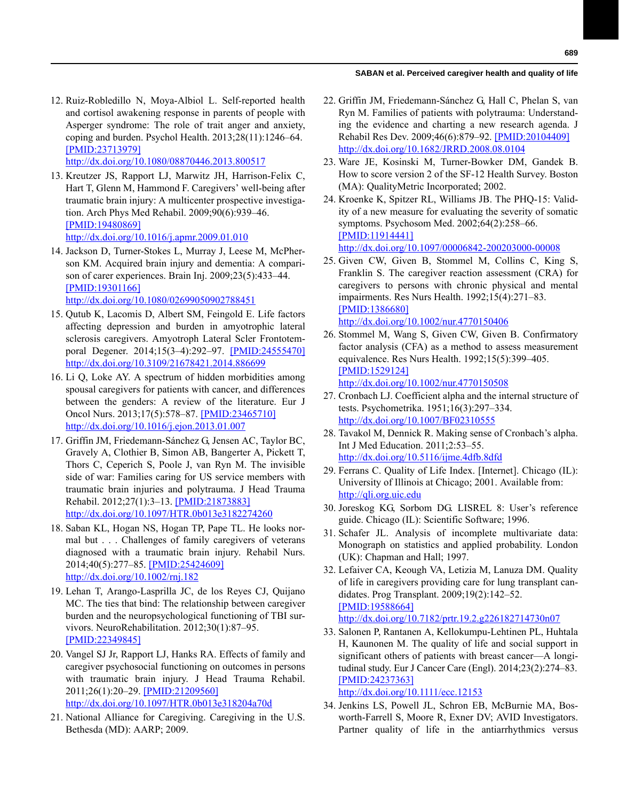#### **SABAN et al. Perceived caregiver health and quality of life**

12. Ruiz-Robledillo N, Moya-Albiol L. Self-reported health and cortisol awakening response in parents of people with Asperger syndrome: The role of trait anger and anxiety, coping and burden. Psychol Health. 2013;28(11):1246–64. [\[PMID:23713979\]](http://www.ncbi.nlm.nih.gov/entrez/query.fcgi?cmd=Retrieve&db=PubMed&list_uids=23713979&dopt=Abstract)

<http://dx.doi.org/10.1080/08870446.2013.800517>

- 13. Kreutzer JS, Rapport LJ, Marwitz JH, Harrison-Felix C, Hart T, Glenn M, Hammond F. Caregivers' well-being after traumatic brain injury: A multicenter prospective investigation. Arch Phys Med Rehabil. 2009;90(6):939–46. [\[PMID:19480869\]](http://www.ncbi.nlm.nih.gov/entrez/query.fcgi?cmd=Retrieve&db=PubMed&list_uids=19480869&dopt=Abstract) <http://dx.doi.org/10.1016/j.apmr.2009.01.010>
- 14. Jackson D, Turner-Stokes L, Murray J, Leese M, McPherson KM. Acquired brain injury and dementia: A comparison of carer experiences. Brain Inj. 2009;23(5):433–44. [\[PMID:19301166\]](http://www.ncbi.nlm.nih.gov/entrez/query.fcgi?cmd=Retrieve&db=PubMed&list_uids=19301166&dopt=Abstract) <http://dx.doi.org/10.1080/02699050902788451>
- 15. Qutub K, Lacomis D, Albert SM, Feingold E. Life factors affecting depression and burden in amyotrophic lateral sclerosis caregivers. Amyotroph Lateral Scler Frontotemporal Degener. 2014;15(3–4):292–97. [\[PMID:24555470\]](http://www.ncbi.nlm.nih.gov/pubmed/24555470) <http://dx.doi.org/10.3109/21678421.2014.886699>
- 16. Li Q, Loke AY. A spectrum of hidden morbidities among spousal caregivers for patients with cancer, and differences between the genders: A review of the literature. Eur J Oncol Nurs. 2013;17(5):578–87. [\[PMID:23465710\]](http://www.ncbi.nlm.nih.gov/entrez/query.fcgi?cmd=Retrieve&db=PubMed&list_uids=23465710&dopt=Abstract) <http://dx.doi.org/10.1016/j.ejon.2013.01.007>
- 17. Griffin JM, Friedemann-Sánchez G, Jensen AC, Taylor BC, Gravely A, Clothier B, Simon AB, Bangerter A, Pickett T, Thors C, Ceperich S, Poole J, van Ryn M. The invisible side of war: Families caring for US service members with traumatic brain injuries and polytrauma. J Head Trauma Rehabil. 2012;27(1):3–13. [\[PMID:21873883\]](http://www.ncbi.nlm.nih.gov/entrez/query.fcgi?cmd=Retrieve&db=PubMed&list_uids=21873883&dopt=Abstract) <http://dx.doi.org/10.1097/HTR.0b013e3182274260>
- 18. Saban KL, Hogan NS, Hogan TP, Pape TL. He looks normal but . . . Challenges of family caregivers of veterans diagnosed with a traumatic brain injury. Rehabil Nurs. 2014;40(5):277–85. [\[PMID:25424609\]](http://www.ncbi.nlm.nih.gov/entrez/query.fcgi?cmd=Retrieve&db=PubMed&list_uids=25424609&dopt=Abstract) <http://dx.doi.org/10.1002/rnj.182>
- 19. Lehan T, Arango-Lasprilla JC, de los Reyes CJ, Quijano MC. The ties that bind: The relationship between caregiver burden and the neuropsychological functioning of TBI survivors. NeuroRehabilitation. 2012;30(1):87–95. [\[PMID:22349845\]](http://www.ncbi.nlm.nih.gov/entrez/query.fcgi?cmd=Retrieve&db=PubMed&list_uids=22349845&dopt=Abstract)
- 20. Vangel SJ Jr, Rapport LJ, Hanks RA. Effects of family and caregiver psychosocial functioning on outcomes in persons with traumatic brain injury. J Head Trauma Rehabil. 2011;26(1):20–29. [\[PMID:21209560\]](http://www.ncbi.nlm.nih.gov/entrez/query.fcgi?cmd=Retrieve&db=PubMed&list_uids=21209560&dopt=Abstract) <http://dx.doi.org/10.1097/HTR.0b013e318204a70d>
- 21. National Alliance for Caregiving. Caregiving in the U.S. Bethesda (MD): AARP; 2009.
- 22. Griffin JM, Friedemann-Sánchez G, Hall C, Phelan S, van Ryn M. Families of patients with polytrauma: Understanding the evidence and charting a new research agenda. J Rehabil Res Dev. 2009;46(6):879–92. [\[PMID:20104409\]](http://www.ncbi.nlm.nih.gov/entrez/query.fcgi?cmd=Retrieve&db=PubMed&list_uids=20104409&dopt=Abstract) [h](http://www.ncbi.nlm.nih.gov/entrez/query.fcgi?cmd=Retrieve&db=PubMed&list_uids=20104409&dopt=Abstract)[ttp://dx.doi.org/10.1682/JRRD.2008.08.0104](http://dx.doi.org/10.1682/JRRD.2008.08.0104)
- 23. Ware JE, Kosinski M, Turner-Bowker DM, Gandek B. How to score version 2 of the SF-12 Health Survey. Boston (MA): QualityMetric Incorporated; 2002.
- 24. Kroenke K, Spitzer RL, Williams JB. The PHQ-15: Validity of a new measure for evaluating the severity of somatic symptoms. Psychosom Med. 2002;64(2):258–66. [\[PMID:11914441\]](http://www.ncbi.nlm.nih.gov/entrez/query.fcgi?cmd=Retrieve&db=PubMed&list_uids=11914441&dopt=Abstract)

<http://dx.doi.org/10.1097/00006842-200203000-00008>

25. Given CW, Given B, Stommel M, Collins C, King S, Franklin S. The caregiver reaction assessment (CRA) for caregivers to persons with chronic physical and mental impairments. Res Nurs Health. 1992;15(4):271–83. [\[PMID:1386680\]](http://www.ncbi.nlm.nih.gov/entrez/query.fcgi?cmd=Retrieve&db=PubMed&list_uids=1386680&dopt=Abstract)

<http://dx.doi.org/10.1002/nur.4770150406>

- 26. Stommel M, Wang S, Given CW, Given B. Confirmatory factor analysis (CFA) as a method to assess measurement equivalence. Res Nurs Health. 1992;15(5):399–405. [\[PMID:1529124\]](http://www.ncbi.nlm.nih.gov/entrez/query.fcgi?cmd=Retrieve&db=PubMed&list_uids=1529124&dopt=Abstract) <http://dx.doi.org/10.1002/nur.4770150508>
- 27. Cronbach LJ. Coefficient alpha and the internal structure of tests. Psychometrika. 1951;16(3):297–334. <http://dx.doi.org/10.1007/BF02310555>
- 28. Tavakol M, Dennick R. Making sense of Cronbach's alpha. Int J Med Education. 2011;2:53–55. <http://dx.doi.org/10.5116/ijme.4dfb.8dfd>
- 29. Ferrans C. Quality of Life Index. [Internet]. Chicago (IL): University of Illinois at Chicago; 2001. Available from: <http://qli.org.uic.edu>
- 30. Joreskog KG, Sorbom DG. LISREL 8: User's reference guide. Chicago (IL): Scientific Software; 1996.
- 31. Schafer JL. Analysis of incomplete multivariate data: Monograph on statistics and applied probability. London (UK): Chapman and Hall; 1997.
- 32. Lefaiver CA, Keough VA, Letizia M, Lanuza DM. Quality of life in caregivers providing care for lung transplant candidates. Prog Transplant. 2009;19(2):142–52. [\[PMID:19588664\]](http://www.ncbi.nlm.nih.gov/entrez/query.fcgi?cmd=Retrieve&db=PubMed&list_uids=19588664&dopt=Abstract) <http://dx.doi.org/10.7182/prtr.19.2.g226182714730n07>
- 33. Salonen P, Rantanen A, Kellokumpu-Lehtinen PL, Huhtala H, Kaunonen M. The quality of life and social support in significant others of patients with breast cancer—A longitudinal study. Eur J Cancer Care (Engl). 2014;23(2):274–83. [\[PMID:24237363\]](http://www.ncbi.nlm.nih.gov/entrez/query.fcgi?cmd=Retrieve&db=PubMed&list_uids=24237363&dopt=Abstract)

```
http://dx.doi.org/10.1111/ecc.12153
```
34. Jenkins LS, Powell JL, Schron EB, McBurnie MA, Bosworth-Farrell S, Moore R, Exner DV; AVID Investigators. Partner quality of life in the antiarrhythmics versus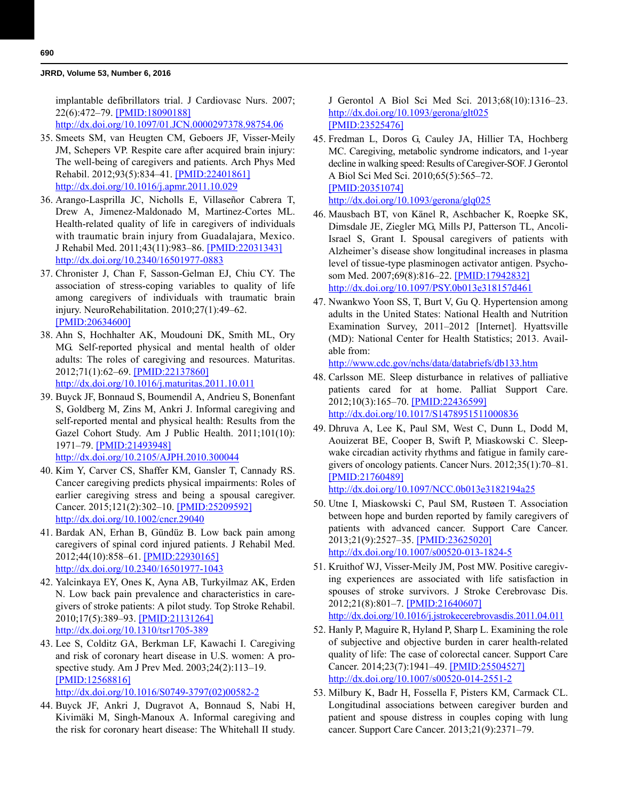implantable defibrillators trial. J Cardiovasc Nurs. 2007; 22(6):472–79. [\[PMID:18090188\]](http://www.ncbi.nlm.nih.gov/entrez/query.fcgi?cmd=Retrieve&db=PubMed&list_uids=18090188&dopt=Abstract)

<http://dx.doi.org/10.1097/01.JCN.0000297378.98754.06>

- 35. Smeets SM, van Heugten CM, Geboers JF, Visser-Meily JM, Schepers VP. Respite care after acquired brain injury: The well-being of caregivers and patients. Arch Phys Med Rehabil. 2012;93(5):834–41. [\[PMID:22401861\]](http://www.ncbi.nlm.nih.gov/entrez/query.fcgi?cmd=Retrieve&db=PubMed&list_uids=22401861&dopt=Abstract) <http://dx.doi.org/10.1016/j.apmr.2011.10.029>
- 36. Arango-Lasprilla JC, Nicholls E, Villaseñor Cabrera T, Drew A, Jimenez-Maldonado M, Martinez-Cortes ML. Health-related quality of life in caregivers of individuals with traumatic brain injury from Guadalajara, Mexico. J Rehabil Med. 2011;43(11):983–86. [\[PMID:22031343\]](http://www.ncbi.nlm.nih.gov/entrez/query.fcgi?cmd=Retrieve&db=PubMed&list_uids=22031343&dopt=Abstract) [h](http://www.ncbi.nlm.nih.gov/entrez/query.fcgi?cmd=Retrieve&db=PubMed&list_uids=22031343&dopt=Abstract)[ttp://dx.doi.org/10.2340/16501977-0883](http://dx.doi.org/10.2340/16501977-0883)
- 37. Chronister J, Chan F, Sasson-Gelman EJ, Chiu CY. The association of stress-coping variables to quality of life among caregivers of individuals with traumatic brain injury. NeuroRehabilitation. 2010;27(1):49–62. [\[PMID:20634600\]](http://www.ncbi.nlm.nih.gov/entrez/query.fcgi?cmd=Retrieve&db=PubMed&list_uids=20634600&dopt=Abstract)
- 38. Ahn S, Hochhalter AK, Moudouni DK, Smith ML, Ory MG. Self-reported physical and mental health of older adults: The roles of caregiving and resources. Maturitas. 2012;71(1):62–69. [\[PMID:22137860\]](http://www.ncbi.nlm.nih.gov/entrez/query.fcgi?cmd=Retrieve&db=PubMed&list_uids=22137860&dopt=Abstract) <http://dx.doi.org/10.1016/j.maturitas.2011.10.011>
- 39. Buyck JF, Bonnaud S, Boumendil A, Andrieu S, Bonenfant S, Goldberg M, Zins M, Ankri J. Informal caregiving and self-reported mental and physical health: Results from the Gazel Cohort Study. Am J Public Health. 2011;101(10): 1971–79. [\[PMID:21493948\]](http://www.ncbi.nlm.nih.gov/entrez/query.fcgi?cmd=Retrieve&db=PubMed&list_uids=21493948&dopt=Abstract) <http://dx.doi.org/10.2105/AJPH.2010.300044>
- 40. Kim Y, Carver CS, Shaffer KM, Gansler T, Cannady RS. Cancer caregiving predicts physical impairments: Roles of earlier caregiving stress and being a spousal caregiver. Cancer. 2015;121(2):302–10. [\[PMID:25209592\]](http://www.ncbi.nlm.nih.gov/entrez/query.fcgi?cmd=Retrieve&db=PubMed&list_uids=25209592&dopt=Abstract) <http://dx.doi.org/10.1002/cncr.29040>
- 41. Bardak AN, Erhan B, Gündüz B. Low back pain among caregivers of spinal cord injured patients. J Rehabil Med. 2012;44(10):858–61. [\[PMID:22930165\]](http://www.ncbi.nlm.nih.gov/entrez/query.fcgi?cmd=Retrieve&db=PubMed&list_uids=22930165&dopt=Abstract) <http://dx.doi.org/10.2340/16501977-1043>
- 42. Yalcinkaya EY, Ones K, Ayna AB, Turkyilmaz AK, Erden N. Low back pain prevalence and characteristics in caregivers of stroke patients: A pilot study. Top Stroke Rehabil. 2010;17(5):389–93. [\[PMID:21131264\]](http://www.ncbi.nlm.nih.gov/entrez/query.fcgi?cmd=Retrieve&db=PubMed&list_uids=21131264&dopt=Abstract) <http://dx.doi.org/10.1310/tsr1705-389>
- 43. Lee S, Colditz GA, Berkman LF, Kawachi I. Caregiving and risk of coronary heart disease in U.S. women: A prospective study. Am J Prev Med. 2003;24(2):113–19. [\[PMID:12568816\]](http://www.ncbi.nlm.nih.gov/entrez/query.fcgi?cmd=Retrieve&db=PubMed&list_uids=12568816&dopt=Abstract)

[http://dx.doi.org/10.1016/S0749-3797\(02\)00582-2](http://dx.doi.org/10.1016/S0749-3797(02)00582-2)

44. Buyck JF, Ankri J, Dugravot A, Bonnaud S, Nabi H, Kivimäki M, Singh-Manoux A. Informal caregiving and the risk for coronary heart disease: The Whitehall II study. J Gerontol A Biol Sci Med Sci. 2013;68(10):1316–23. <http://dx.doi.org/10.1093/gerona/glt025> [\[PMID:23525476\]](http://www.ncbi.nlm.nih.gov/entrez/query.fcgi?cmd=Retrieve&db=PubMed&list_uids=23525476&dopt=Abstract)

- 45. Fredman L, Doros G, Cauley JA, Hillier TA, Hochberg MC. Caregiving, metabolic syndrome indicators, and 1-year decline in walking speed: Results of Caregiver-SOF. J Gerontol A Biol Sci Med Sci. 2010;65(5):565–72. [\[PMID:20351074\]](http://www.ncbi.nlm.nih.gov/entrez/query.fcgi?cmd=Retrieve&db=PubMed&list_uids=20351074&dopt=Abstract) <http://dx.doi.org/10.1093/gerona/glq025>
- 46. Mausbach BT, von Känel R, Aschbacher K, Roepke SK, Dimsdale JE, Ziegler MG, Mills PJ, Patterson TL, Ancoli-Israel S, Grant I. Spousal caregivers of patients with Alzheimer's disease show longitudinal increases in plasma level of tissue-type plasminogen activator antigen. Psychosom Med. 2007;69(8):816–22. [\[PMID:17942832\]](http://www.ncbi.nlm.nih.gov/entrez/query.fcgi?cmd=Retrieve&db=PubMed&list_uids=17942832&dopt=Abstract) <http://dx.doi.org/10.1097/PSY.0b013e318157d461>
- 47. Nwankwo Yoon SS, T, Burt V, Gu Q. Hypertension among adults in the United States: National Health and Nutrition Examination Survey, 2011–2012 [Internet]. Hyattsville (MD): National Center for Health Statistics; 2013. Available from:

<http://www.cdc.gov/nchs/data/databriefs/db133.htm>

- 48. Carlsson ME. Sleep disturbance in relatives of palliative patients cared for at home. Palliat Support Care. 2012;10(3):165–70. [\[PMID:22436599\]](http://www.ncbi.nlm.nih.gov/entrez/query.fcgi?cmd=Retrieve&db=PubMed&list_uids=22436599&dopt=Abstract) <http://dx.doi.org/10.1017/S1478951511000836>
- 49. Dhruva A, Lee K, Paul SM, West C, Dunn L, Dodd M, Aouizerat BE, Cooper B, Swift P, Miaskowski C. Sleepwake circadian activity rhythms and fatigue in family caregivers of oncology patients. Cancer Nurs. 2012;35(1):70–81. [\[PMID:21760489\]](http://www.ncbi.nlm.nih.gov/entrez/query.fcgi?cmd=Retrieve&db=PubMed&list_uids=21760489&dopt=Abstract)

<http://dx.doi.org/10.1097/NCC.0b013e3182194a25>

- 50. Utne I, Miaskowski C, Paul SM, Rustøen T. Association between hope and burden reported by family caregivers of patients with advanced cancer. Support Care Cancer. 2013;21(9):2527–35. [\[PMID:23625020\]](http://www.ncbi.nlm.nih.gov/entrez/query.fcgi?cmd=Retrieve&db=PubMed&list_uids=23625020&dopt=Abstract) <http://dx.doi.org/10.1007/s00520-013-1824-5>
- 51. Kruithof WJ, Visser-Meily JM, Post MW. Positive caregiving experiences are associated with life satisfaction in spouses of stroke survivors. J Stroke Cerebrovasc Dis. 2012;21(8):801–7. [\[PMID:21640607\]](http://www.ncbi.nlm.nih.gov/entrez/query.fcgi?cmd=Retrieve&db=PubMed&list_uids=21640607&dopt=Abstract) <http://dx.doi.org/10.1016/j.jstrokecerebrovasdis.2011.04.011>
- 52. Hanly P, Maguire R, Hyland P, Sharp L. Examining the role of subjective and objective burden in carer health-related quality of life: The case of colorectal cancer. Support Care Cancer. 2014;23(7):1941–49. [PMID:25504527] http://dx.doi.org/10.1007/s00520-014-2551-2
- 53. Milbury K, Badr H, Fossella F, Pisters KM, Carmack CL. Longitudinal associations between caregiver burden and patient and spouse distress in couples coping with lung cancer. Support Care Cancer. 2013;21(9):2371–79.